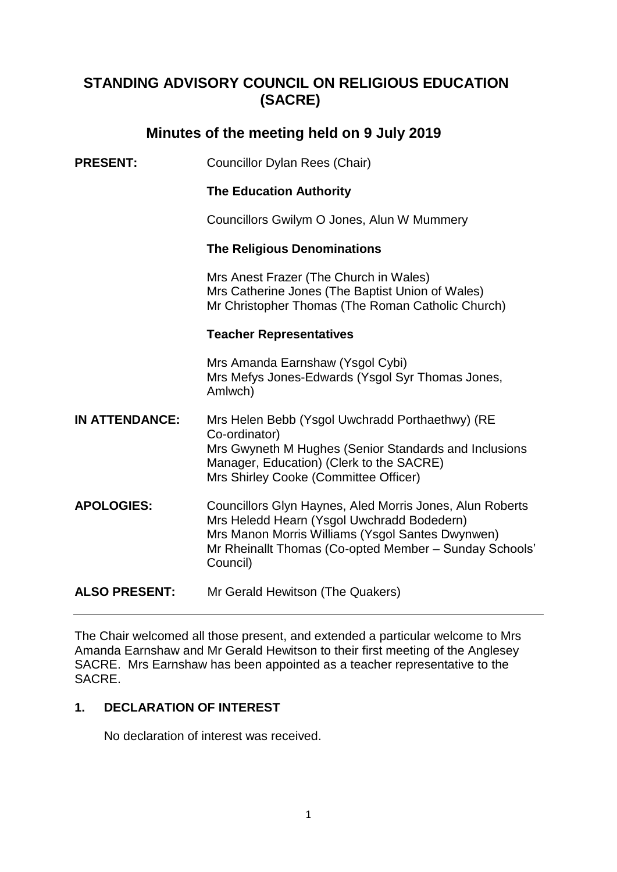# **STANDING ADVISORY COUNCIL ON RELIGIOUS EDUCATION (SACRE)**

# **Minutes of the meeting held on 9 July 2019**

**PRESENT:** Councillor Dylan Rees (Chair)

# **The Education Authority**

Councillors Gwilym O Jones, Alun W Mummery

## **The Religious Denominations**

Mrs Anest Frazer (The Church in Wales) Mrs Catherine Jones (The Baptist Union of Wales) Mr Christopher Thomas (The Roman Catholic Church)

#### **Teacher Representatives**

Mrs Amanda Earnshaw (Ysgol Cybi) Mrs Mefys Jones-Edwards (Ysgol Syr Thomas Jones, Amlwch)

- **IN ATTENDANCE:** Mrs Helen Bebb (Ysgol Uwchradd Porthaethwy) (RE Co-ordinator) Mrs Gwyneth M Hughes (Senior Standards and Inclusions Manager, Education) (Clerk to the SACRE) Mrs Shirley Cooke (Committee Officer)
- **APOLOGIES:** Councillors Glyn Haynes, Aled Morris Jones, Alun Roberts Mrs Heledd Hearn (Ysgol Uwchradd Bodedern) Mrs Manon Morris Williams (Ysgol Santes Dwynwen) Mr Rheinallt Thomas (Co-opted Member – Sunday Schools' Council)

**ALSO PRESENT:** Mr Gerald Hewitson (The Quakers)

The Chair welcomed all those present, and extended a particular welcome to Mrs Amanda Earnshaw and Mr Gerald Hewitson to their first meeting of the Anglesey SACRE. Mrs Earnshaw has been appointed as a teacher representative to the SACRE.

## **1. DECLARATION OF INTEREST**

No declaration of interest was received.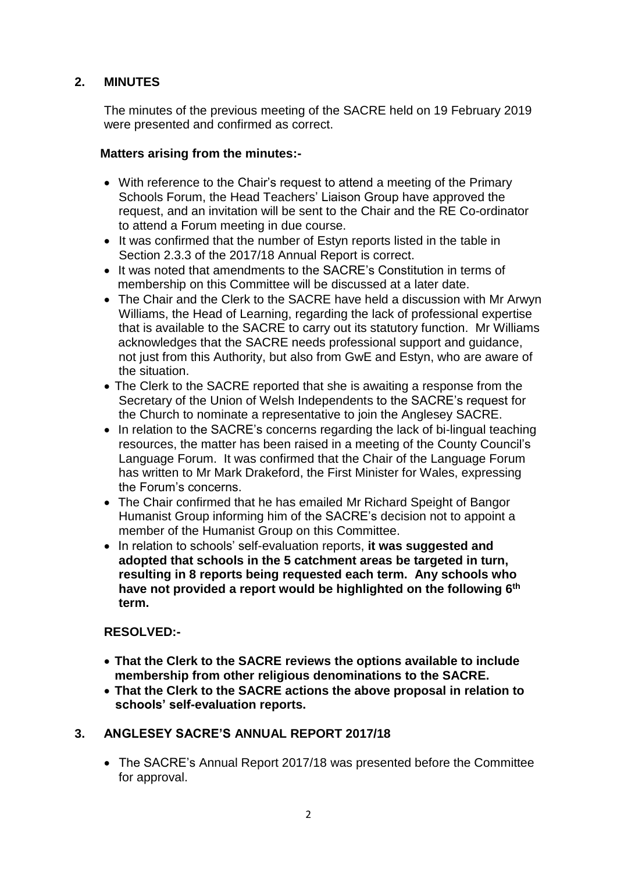# **2. MINUTES**

The minutes of the previous meeting of the SACRE held on 19 February 2019 were presented and confirmed as correct.

# **Matters arising from the minutes:-**

- With reference to the Chair's request to attend a meeting of the Primary Schools Forum, the Head Teachers' Liaison Group have approved the request, and an invitation will be sent to the Chair and the RE Co-ordinator to attend a Forum meeting in due course.
- It was confirmed that the number of Estyn reports listed in the table in Section 2.3.3 of the 2017/18 Annual Report is correct.
- It was noted that amendments to the SACRE's Constitution in terms of membership on this Committee will be discussed at a later date.
- The Chair and the Clerk to the SACRE have held a discussion with Mr Arwyn Williams, the Head of Learning, regarding the lack of professional expertise that is available to the SACRE to carry out its statutory function. Mr Williams acknowledges that the SACRE needs professional support and guidance, not just from this Authority, but also from GwE and Estyn, who are aware of the situation.
- The Clerk to the SACRE reported that she is awaiting a response from the Secretary of the Union of Welsh Independents to the SACRE's request for the Church to nominate a representative to join the Anglesey SACRE.
- In relation to the SACRE's concerns regarding the lack of bi-lingual teaching resources, the matter has been raised in a meeting of the County Council's Language Forum. It was confirmed that the Chair of the Language Forum has written to Mr Mark Drakeford, the First Minister for Wales, expressing the Forum's concerns.
- The Chair confirmed that he has emailed Mr Richard Speight of Bangor Humanist Group informing him of the SACRE's decision not to appoint a member of the Humanist Group on this Committee.
- In relation to schools' self-evaluation reports, **it was suggested and adopted that schools in the 5 catchment areas be targeted in turn, resulting in 8 reports being requested each term. Any schools who have not provided a report would be highlighted on the following 6th term.**

## **RESOLVED:-**

- **That the Clerk to the SACRE reviews the options available to include membership from other religious denominations to the SACRE.**
- **That the Clerk to the SACRE actions the above proposal in relation to schools' self-evaluation reports.**

# **3. ANGLESEY SACRE'S ANNUAL REPORT 2017/18**

 The SACRE's Annual Report 2017/18 was presented before the Committee for approval.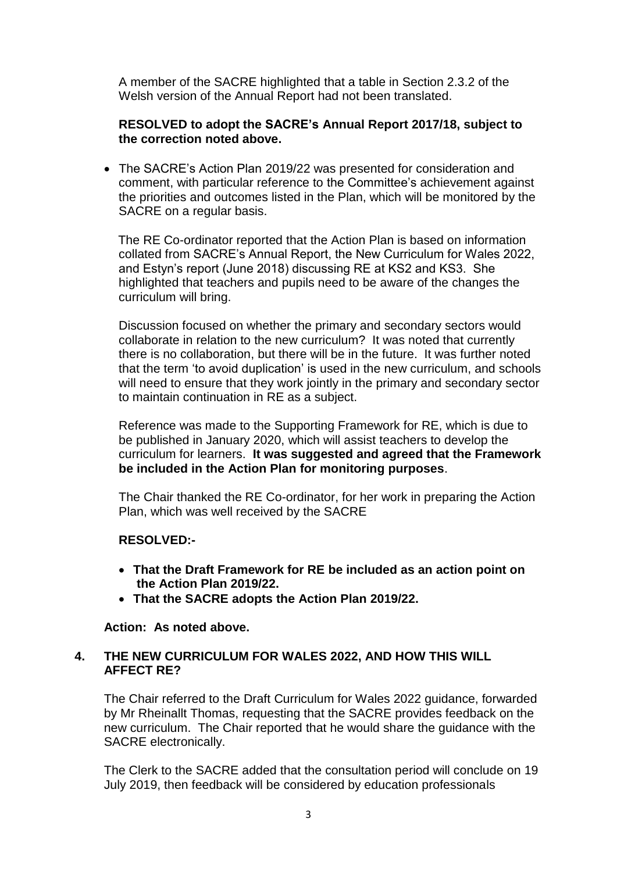A member of the SACRE highlighted that a table in Section 2.3.2 of the Welsh version of the Annual Report had not been translated.

## **RESOLVED to adopt the SACRE's Annual Report 2017/18, subject to the correction noted above.**

 The SACRE's Action Plan 2019/22 was presented for consideration and comment, with particular reference to the Committee's achievement against the priorities and outcomes listed in the Plan, which will be monitored by the SACRE on a regular basis.

The RE Co-ordinator reported that the Action Plan is based on information collated from SACRE's Annual Report, the New Curriculum for Wales 2022, and Estyn's report (June 2018) discussing RE at KS2 and KS3. She highlighted that teachers and pupils need to be aware of the changes the curriculum will bring.

Discussion focused on whether the primary and secondary sectors would collaborate in relation to the new curriculum? It was noted that currently there is no collaboration, but there will be in the future. It was further noted that the term 'to avoid duplication' is used in the new curriculum, and schools will need to ensure that they work jointly in the primary and secondary sector to maintain continuation in RE as a subject.

Reference was made to the Supporting Framework for RE, which is due to be published in January 2020, which will assist teachers to develop the curriculum for learners. **It was suggested and agreed that the Framework be included in the Action Plan for monitoring purposes**.

The Chair thanked the RE Co-ordinator, for her work in preparing the Action Plan, which was well received by the SACRE

## **RESOLVED:-**

- **That the Draft Framework for RE be included as an action point on the Action Plan 2019/22.**
- **That the SACRE adopts the Action Plan 2019/22.**

## **Action: As noted above.**

## **4. THE NEW CURRICULUM FOR WALES 2022, AND HOW THIS WILL AFFECT RE?**

The Chair referred to the Draft Curriculum for Wales 2022 guidance, forwarded by Mr Rheinallt Thomas, requesting that the SACRE provides feedback on the new curriculum. The Chair reported that he would share the guidance with the SACRE electronically.

The Clerk to the SACRE added that the consultation period will conclude on 19 July 2019, then feedback will be considered by education professionals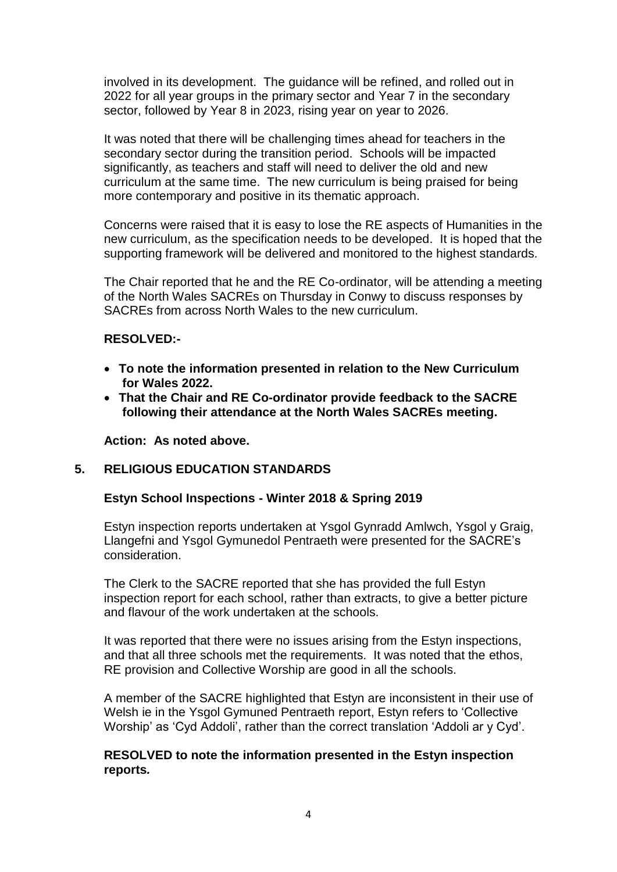involved in its development. The guidance will be refined, and rolled out in 2022 for all year groups in the primary sector and Year 7 in the secondary sector, followed by Year 8 in 2023, rising year on year to 2026.

It was noted that there will be challenging times ahead for teachers in the secondary sector during the transition period. Schools will be impacted significantly, as teachers and staff will need to deliver the old and new curriculum at the same time. The new curriculum is being praised for being more contemporary and positive in its thematic approach.

Concerns were raised that it is easy to lose the RE aspects of Humanities in the new curriculum, as the specification needs to be developed. It is hoped that the supporting framework will be delivered and monitored to the highest standards.

The Chair reported that he and the RE Co-ordinator, will be attending a meeting of the North Wales SACREs on Thursday in Conwy to discuss responses by SACREs from across North Wales to the new curriculum.

## **RESOLVED:-**

- **To note the information presented in relation to the New Curriculum for Wales 2022.**
- **That the Chair and RE Co-ordinator provide feedback to the SACRE following their attendance at the North Wales SACREs meeting.**

**Action: As noted above.**

## **5. RELIGIOUS EDUCATION STANDARDS**

## **Estyn School Inspections - Winter 2018 & Spring 2019**

Estyn inspection reports undertaken at Ysgol Gynradd Amlwch, Ysgol y Graig, Llangefni and Ysgol Gymunedol Pentraeth were presented for the SACRE's consideration.

The Clerk to the SACRE reported that she has provided the full Estyn inspection report for each school, rather than extracts, to give a better picture and flavour of the work undertaken at the schools.

It was reported that there were no issues arising from the Estyn inspections, and that all three schools met the requirements. It was noted that the ethos, RE provision and Collective Worship are good in all the schools.

A member of the SACRE highlighted that Estyn are inconsistent in their use of Welsh ie in the Ysgol Gymuned Pentraeth report, Estyn refers to 'Collective Worship' as 'Cyd Addoli', rather than the correct translation 'Addoli ar y Cyd'.

## **RESOLVED to note the information presented in the Estyn inspection reports***.*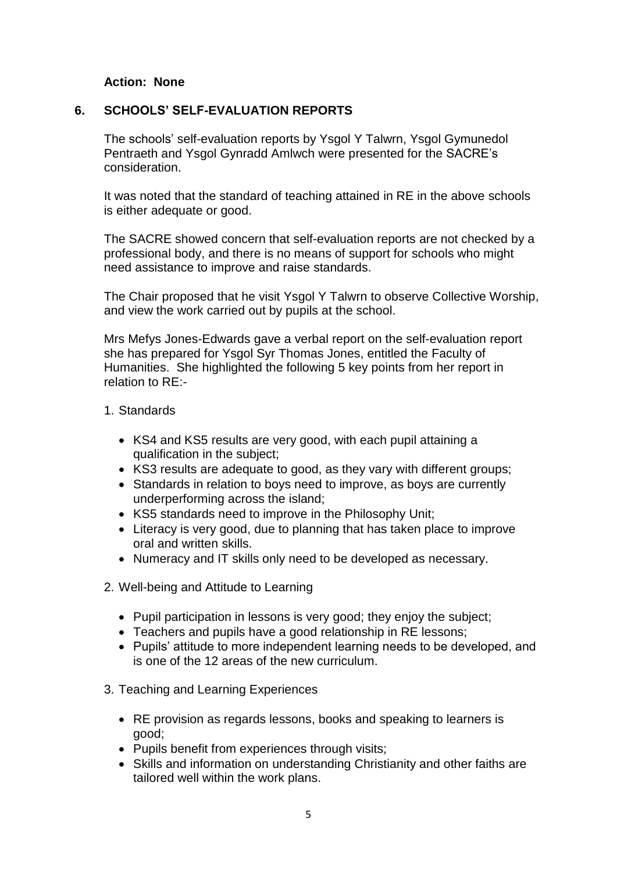## **Action: None**

#### **6. SCHOOLS' SELF-EVALUATION REPORTS**

The schools' self-evaluation reports by Ysgol Y Talwrn, Ysgol Gymunedol Pentraeth and Ysgol Gynradd Amlwch were presented for the SACRE's consideration.

It was noted that the standard of teaching attained in RE in the above schools is either adequate or good.

The SACRE showed concern that self-evaluation reports are not checked by a professional body, and there is no means of support for schools who might need assistance to improve and raise standards.

The Chair proposed that he visit Ysgol Y Talwrn to observe Collective Worship, and view the work carried out by pupils at the school.

Mrs Mefys Jones-Edwards gave a verbal report on the self-evaluation report she has prepared for Ysgol Syr Thomas Jones, entitled the Faculty of Humanities. She highlighted the following 5 key points from her report in relation to RE:-

#### 1. Standards

- KS4 and KS5 results are very good, with each pupil attaining a qualification in the subject;
- KS3 results are adequate to good, as they vary with different groups;
- Standards in relation to boys need to improve, as boys are currently underperforming across the island;
- KS5 standards need to improve in the Philosophy Unit;
- Literacy is very good, due to planning that has taken place to improve oral and written skills.
- Numeracy and IT skills only need to be developed as necessary.
- 2. Well-being and Attitude to Learning
	- Pupil participation in lessons is very good; they enjoy the subject;
	- Teachers and pupils have a good relationship in RE lessons;
	- Pupils' attitude to more independent learning needs to be developed, and is one of the 12 areas of the new curriculum.
- 3. Teaching and Learning Experiences
	- RE provision as regards lessons, books and speaking to learners is good;
	- Pupils benefit from experiences through visits;
	- Skills and information on understanding Christianity and other faiths are tailored well within the work plans.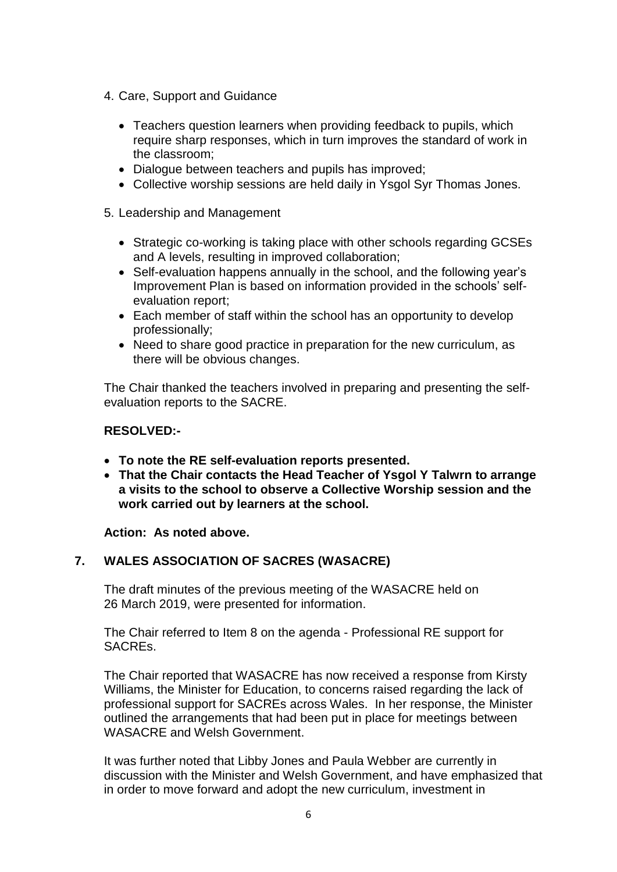- 4. Care, Support and Guidance
	- Teachers question learners when providing feedback to pupils, which require sharp responses, which in turn improves the standard of work in the classroom;
	- Dialogue between teachers and pupils has improved;
	- Collective worship sessions are held daily in Ysgol Syr Thomas Jones.
- 5. Leadership and Management
	- Strategic co-working is taking place with other schools regarding GCSEs and A levels, resulting in improved collaboration;
	- Self-evaluation happens annually in the school, and the following year's Improvement Plan is based on information provided in the schools' selfevaluation report;
	- Each member of staff within the school has an opportunity to develop professionally;
	- Need to share good practice in preparation for the new curriculum, as there will be obvious changes.

The Chair thanked the teachers involved in preparing and presenting the selfevaluation reports to the SACRE.

#### **RESOLVED:-**

- **To note the RE self-evaluation reports presented.**
- **That the Chair contacts the Head Teacher of Ysgol Y Talwrn to arrange a visits to the school to observe a Collective Worship session and the work carried out by learners at the school.**

**Action: As noted above.**

## **7. WALES ASSOCIATION OF SACRES (WASACRE)**

The draft minutes of the previous meeting of the WASACRE held on 26 March 2019, were presented for information.

The Chair referred to Item 8 on the agenda - Professional RE support for SACREs.

The Chair reported that WASACRE has now received a response from Kirsty Williams, the Minister for Education, to concerns raised regarding the lack of professional support for SACREs across Wales. In her response, the Minister outlined the arrangements that had been put in place for meetings between WASACRE and Welsh Government.

It was further noted that Libby Jones and Paula Webber are currently in discussion with the Minister and Welsh Government, and have emphasized that in order to move forward and adopt the new curriculum, investment in